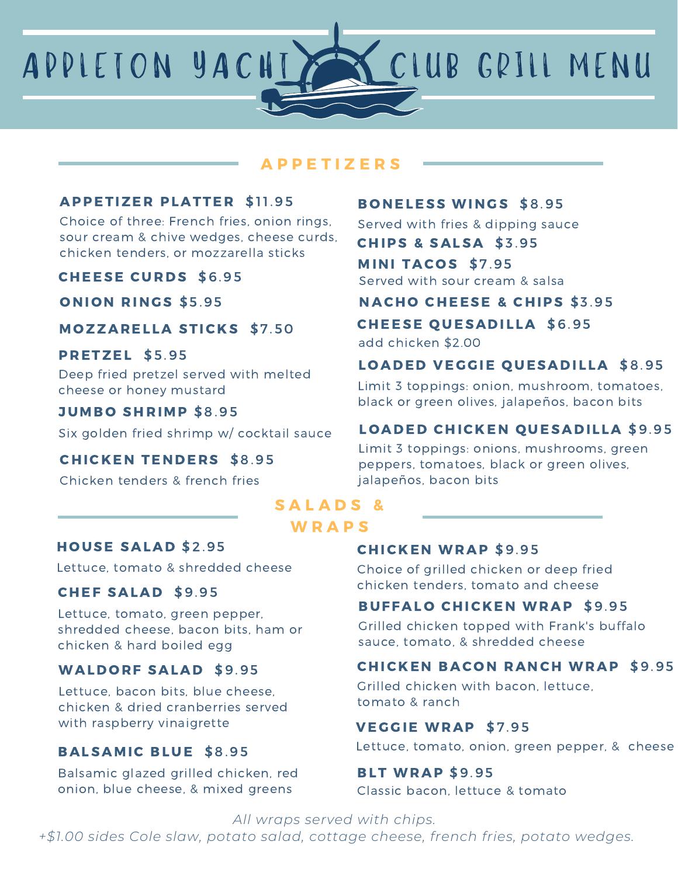APPLETON YACHT SA CLUB GRILL MENU

## A P P E T I Z E R S

#### **APPETIZER PLATTER \$11.95**

Choice of three: French fries, onion rings, sour cream & chive wedges, cheese curds, chicken tenders, or mozzarella sticks

#### CHEESE CURDS \$6.95

ONION RINGS \$5.95

## **MOZZARELLA STICKS \$7.50**

#### PRETZEL \$5.95

Deep fried pretzel served with melted cheese or honey mustard

#### **JUMBO SHRIMP \$8.95**

Six golden fried shrimp w/ cocktail sauce

## **CHICKEN TENDERS \$8.95**

Chicken tenders & french fries

### **BONELESS WINGS \$8.95**

Served with fries & dipping sauce

CHIPS & SALSA \$3 .95

#### MINI TACOS \$7.95

Served with sour cream & salsa

## NACHO CHEESE & CHIPS \$3.95

## **CHEESE QUESADILLA \$6.95**

add chicken \$2.00

## LOADED VEGGIE QUESADILLA \$8.95

Limit 3 toppings: onion, mushroom, tomatoes, black or green olives, jalapeños, bacon bits

## LOADED CHICKEN QUESADILLA \$9.95

Limit 3 toppings: onions, mushrooms, green peppers, tomatoes, black or green olives, jalapeños, bacon bits

# SALADS<sup>&</sup>

## **WRAPS**

## HOUSE SALAD \$2.95

Lettuce, tomato & shredded cheese

#### CHEF SALAD \$9.95

Lettuce, tomato, green pepper, shredded cheese, bacon bits, ham or chicken & hard boiled egg

## WALDORF SALAD \$9.95

Lettuce, bacon bits, blue cheese, chicken & dried cranberries served with raspberry vinaigrette

## BALSAMIC BLUE \$8.95

Balsamic glazed grilled chicken, red onion, blue cheese, & mixed greens

#### **CHICKEN WRAP \$9.95**

Choice of grilled chicken or deep fried chicken tenders, tomato and cheese

## **BUFFALO CHICKEN WRAP \$9.95**

Grilled chicken topped with Frank's buffalo sauce, tomato, & shredded cheese

## **CHICKEN BACON RANCH WRAP \$9.95**

Grilled chicken with bacon, lettuce, tomato & ranch

#### VEGGIE WRAP \$7.95

Lettuce, tomato, onion, green pepper, & cheese

#### **BLT WRAP \$9.95**

Classic bacon, lettuce & tomato

*All wraps served with chips.*

*+\$1.00 sides Cole slaw, potato salad, cottage cheese, french fries, potato wedges.*